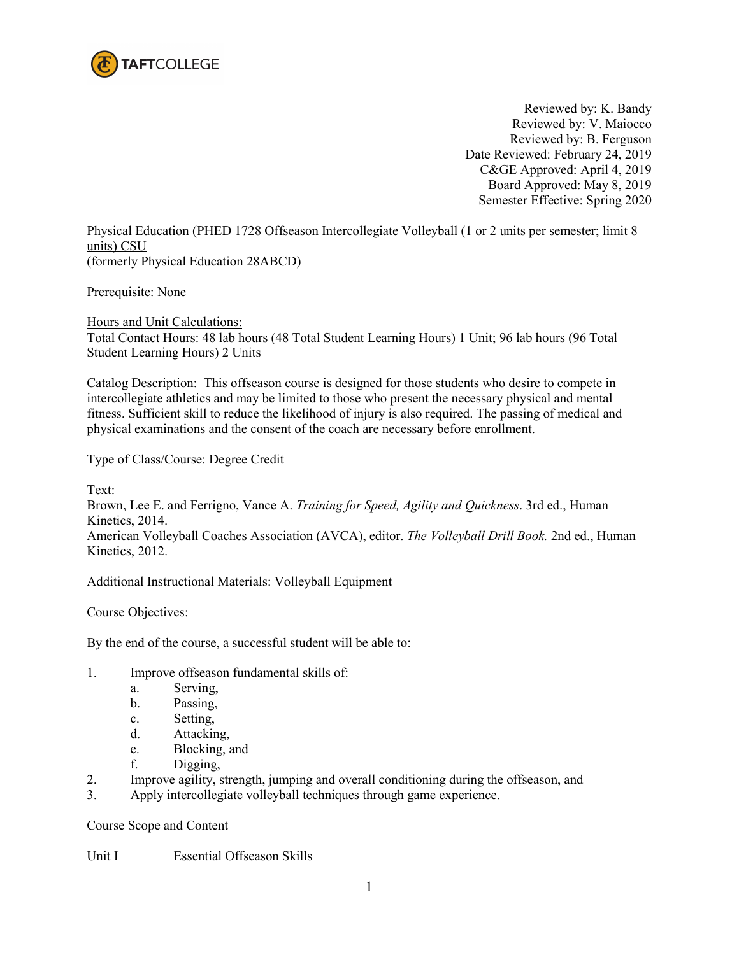

Reviewed by: K. Bandy Reviewed by: V. Maiocco Reviewed by: B. Ferguson Date Reviewed: February 24, 2019 C&GE Approved: April 4, 2019 Board Approved: May 8, 2019 Semester Effective: Spring 2020

Physical Education (PHED 1728 Offseason Intercollegiate Volleyball (1 or 2 units per semester; limit 8 units) CSU (formerly Physical Education 28ABCD)

Prerequisite: None

Hours and Unit Calculations: Total Contact Hours: 48 lab hours (48 Total Student Learning Hours) 1 Unit; 96 lab hours (96 Total Student Learning Hours) 2 Units

Catalog Description: This offseason course is designed for those students who desire to compete in intercollegiate athletics and may be limited to those who present the necessary physical and mental fitness. Sufficient skill to reduce the likelihood of injury is also required. The passing of medical and physical examinations and the consent of the coach are necessary before enrollment.

Type of Class/Course: Degree Credit

Text: Brown, Lee E. and Ferrigno, Vance A. *Training for Speed, Agility and Quickness*. 3rd ed., Human Kinetics, 2014. American Volleyball Coaches Association (AVCA), editor. *The Volleyball Drill Book.* 2nd ed., Human Kinetics, 2012.

Additional Instructional Materials: Volleyball Equipment

Course Objectives:

By the end of the course, a successful student will be able to:

- 1. Improve offseason fundamental skills of:
	- a. Serving,
	- b. Passing,
	- c. Setting,
	- d. Attacking,
	- e. Blocking, and
	- f. Digging,
- 2. Improve agility, strength, jumping and overall conditioning during the offseason, and
- 3. Apply intercollegiate volleyball techniques through game experience.

Course Scope and Content

Unit I Essential Offseason Skills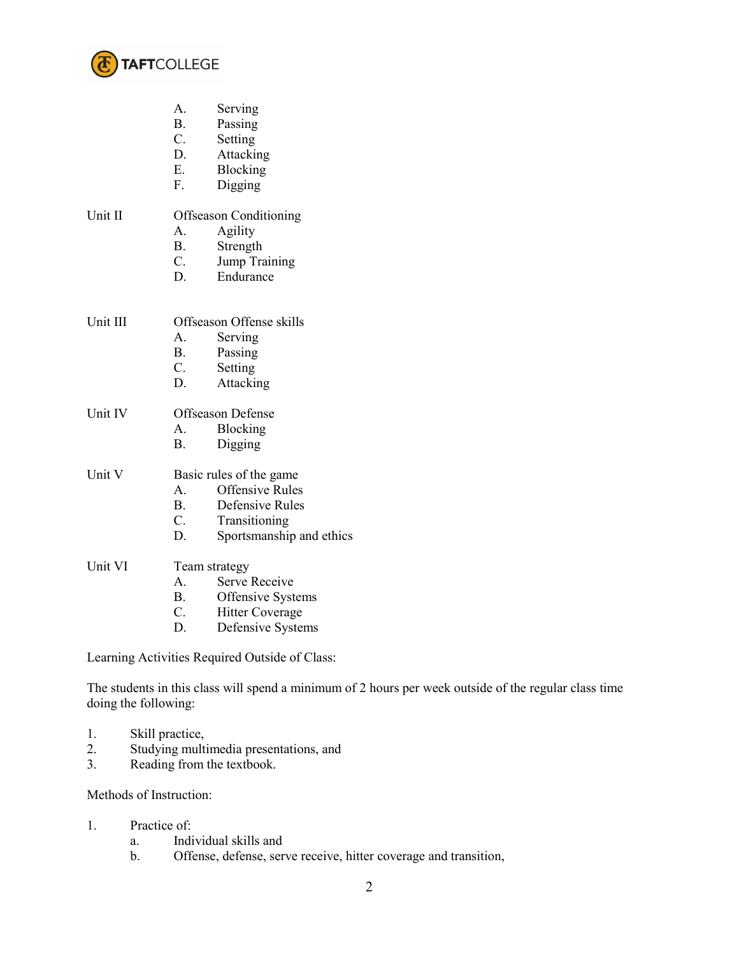

- A. Serving
- B. Passing<br>C. Setting
- **Setting**
- D. Attacking
- E. Blocking
- F. Digging

## Unit II Offseason Conditioning

- A. Agility
- B. Strength
- C. Jump Training
- D. Endurance

| Unit III | Offseason Offense skills |         |
|----------|--------------------------|---------|
|          |                          | Serving |

- B. Passing
- C. Setting
- D. Attacking

## Unit IV Offseason Defense

- A. Blocking
- B. Digging

## Unit V Basic rules of the game

- A. Offensive Rules<br>B. Defensive Rules
- Defensive Rules
- C. Transitioning
- D. Sportsmanship and ethics

## Unit VI Team strategy

- A. Serve Receive
- B. Offensive Systems<br>C. Hitter Coverage
- Hitter Coverage
- D. Defensive Systems

Learning Activities Required Outside of Class:

The students in this class will spend a minimum of 2 hours per week outside of the regular class time doing the following:

- 1. Skill practice,
- 2. Studying multimedia presentations, and
- 3. Reading from the textbook.

Methods of Instruction:

- 1. Practice of:
	- a. Individual skills and
	- b. Offense, defense, serve receive, hitter coverage and transition,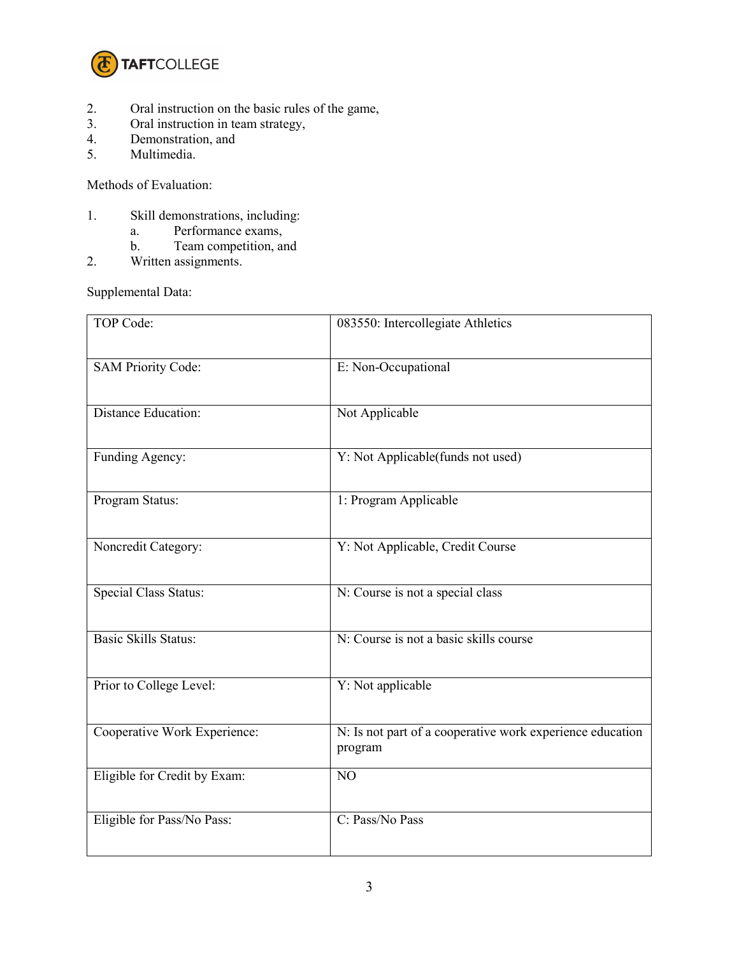

- 2. Oral instruction on the basic rules of the game,<br>3. Oral instruction in team strategy,
- 3. Oral instruction in team strategy,<br>4. Demonstration, and
- 4. Demonstration, and<br>5. Multimedia.
- Multimedia.

Methods of Evaluation:

- 1. Skill demonstrations, including:
	- a. Performance exams,
	- b. Team competition, and
- 2. Written assignments.

Supplemental Data:

| TOP Code:                    | 083550: Intercollegiate Athletics                                    |  |
|------------------------------|----------------------------------------------------------------------|--|
| <b>SAM Priority Code:</b>    | E: Non-Occupational                                                  |  |
| Distance Education:          | Not Applicable                                                       |  |
| Funding Agency:              | Y: Not Applicable(funds not used)                                    |  |
| Program Status:              | 1: Program Applicable                                                |  |
| Noncredit Category:          | Y: Not Applicable, Credit Course                                     |  |
| <b>Special Class Status:</b> | N: Course is not a special class                                     |  |
| <b>Basic Skills Status:</b>  | N: Course is not a basic skills course                               |  |
| Prior to College Level:      | Y: Not applicable                                                    |  |
| Cooperative Work Experience: | N: Is not part of a cooperative work experience education<br>program |  |
| Eligible for Credit by Exam: | NO                                                                   |  |
| Eligible for Pass/No Pass:   | C: Pass/No Pass                                                      |  |